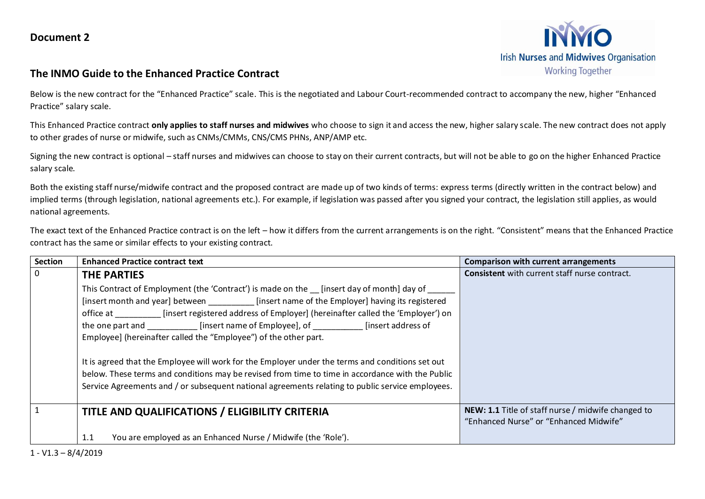

## **The INMO Guide to the Enhanced Practice Contract**

Below is the new contract for the "Enhanced Practice" scale. This is the negotiated and Labour Court-recommended contract to accompany the new, higher "Enhanced Practice" salary scale.

This Enhanced Practice contract **only applies to staff nurses and midwives** who choose to sign it and access the new, higher salary scale. The new contract does not apply to other grades of nurse or midwife, such as CNMs/CMMs, CNS/CMS PHNs, ANP/AMP etc.

Signing the new contract is optional – staff nurses and midwives can choose to stay on their current contracts, but will not be able to go on the higher Enhanced Practice salary scale.

Both the existing staff nurse/midwife contract and the proposed contract are made up of two kinds of terms: express terms (directly written in the contract below) and implied terms (through legislation, national agreements etc.). For example, if legislation was passed after you signed your contract, the legislation still applies, as would national agreements.

The exact text of the Enhanced Practice contract is on the left – how it differs from the current arrangements is on the right. "Consistent" means that the Enhanced Practice contract has the same or similar effects to your existing contract.

| Section        | <b>Enhanced Practice contract text</b>                                                                                                                                                                                                                                                                                                                                                                                                                                                                                                                                                                                                                                                                                           | <b>Comparison with current arrangements</b>                                                  |
|----------------|----------------------------------------------------------------------------------------------------------------------------------------------------------------------------------------------------------------------------------------------------------------------------------------------------------------------------------------------------------------------------------------------------------------------------------------------------------------------------------------------------------------------------------------------------------------------------------------------------------------------------------------------------------------------------------------------------------------------------------|----------------------------------------------------------------------------------------------|
| $\overline{0}$ | <b>THE PARTIES</b>                                                                                                                                                                                                                                                                                                                                                                                                                                                                                                                                                                                                                                                                                                               | <b>Consistent</b> with current staff nurse contract.                                         |
|                | This Contract of Employment (the 'Contract') is made on the [insert day of month] day of<br>[insert month and year] between [insert name of the Employer] having its registered<br>office at [insert registered address of Employer] (hereinafter called the 'Employer') on<br>the one part and [insert name of Employee], of [insert address of<br>Employee] (hereinafter called the "Employee") of the other part.<br>It is agreed that the Employee will work for the Employer under the terms and conditions set out<br>below. These terms and conditions may be revised from time to time in accordance with the Public<br>Service Agreements and / or subsequent national agreements relating to public service employees. |                                                                                              |
|                | <b>TITLE AND QUALIFICATIONS / ELIGIBILITY CRITERIA</b>                                                                                                                                                                                                                                                                                                                                                                                                                                                                                                                                                                                                                                                                           | NEW: 1.1 Title of staff nurse / midwife changed to<br>"Enhanced Nurse" or "Enhanced Midwife" |
|                | You are employed as an Enhanced Nurse / Midwife (the 'Role').<br>1.1                                                                                                                                                                                                                                                                                                                                                                                                                                                                                                                                                                                                                                                             |                                                                                              |

1 - V1.3 – 8/4/2019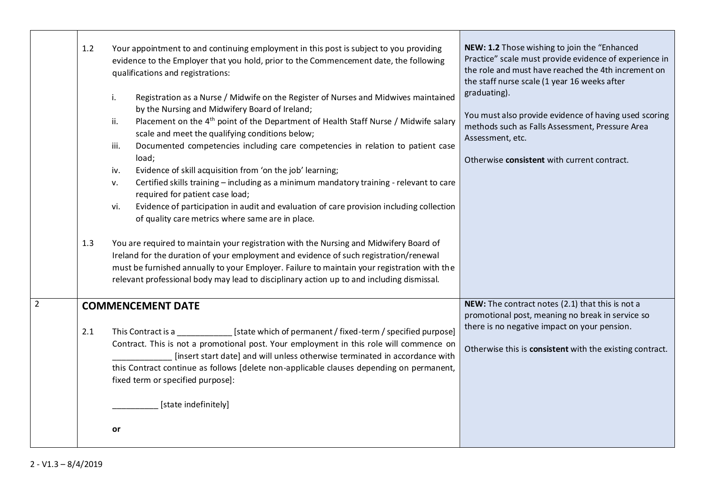| 1.2 | Your appointment to and continuing employment in this post is subject to you providing<br>evidence to the Employer that you hold, prior to the Commencement date, the following<br>qualifications and registrations:                                                                                                                                                                                                                                                                                                                                                                                                                                                                                                                                                         | NEW: 1.2 Those wishing to join the "Enhanced<br>Practice" scale must provide evidence of experience in<br>the role and must have reached the 4th increment on<br>the staff nurse scale (1 year 16 weeks after    |
|-----|------------------------------------------------------------------------------------------------------------------------------------------------------------------------------------------------------------------------------------------------------------------------------------------------------------------------------------------------------------------------------------------------------------------------------------------------------------------------------------------------------------------------------------------------------------------------------------------------------------------------------------------------------------------------------------------------------------------------------------------------------------------------------|------------------------------------------------------------------------------------------------------------------------------------------------------------------------------------------------------------------|
|     | Registration as a Nurse / Midwife on the Register of Nurses and Midwives maintained<br>i.<br>by the Nursing and Midwifery Board of Ireland;<br>Placement on the 4 <sup>th</sup> point of the Department of Health Staff Nurse / Midwife salary<br>ii.<br>scale and meet the qualifying conditions below;<br>Documented competencies including care competencies in relation to patient case<br>iii.<br>load;<br>Evidence of skill acquisition from 'on the job' learning;<br>iv.<br>Certified skills training - including as a minimum mandatory training - relevant to care<br>v.<br>required for patient case load;<br>Evidence of participation in audit and evaluation of care provision including collection<br>vi.<br>of quality care metrics where same are in place. | graduating).<br>You must also provide evidence of having used scoring<br>methods such as Falls Assessment, Pressure Area<br>Assessment, etc.<br>Otherwise consistent with current contract.                      |
| 1.3 | You are required to maintain your registration with the Nursing and Midwifery Board of<br>Ireland for the duration of your employment and evidence of such registration/renewal<br>must be furnished annually to your Employer. Failure to maintain your registration with the<br>relevant professional body may lead to disciplinary action up to and including dismissal.                                                                                                                                                                                                                                                                                                                                                                                                  |                                                                                                                                                                                                                  |
| 2.1 | <b>COMMENCEMENT DATE</b><br>This Contract is a set of state which of permanent / fixed-term / specified purpose]<br>Contract. This is not a promotional post. Your employment in this role will commence on<br>[insert start date] and will unless otherwise terminated in accordance with<br>this Contract continue as follows [delete non-applicable clauses depending on permanent,<br>fixed term or specified purpose]:<br>[state indefinitely]                                                                                                                                                                                                                                                                                                                          | NEW: The contract notes (2.1) that this is not a<br>promotional post, meaning no break in service so<br>there is no negative impact on your pension.<br>Otherwise this is consistent with the existing contract. |
|     | or                                                                                                                                                                                                                                                                                                                                                                                                                                                                                                                                                                                                                                                                                                                                                                           |                                                                                                                                                                                                                  |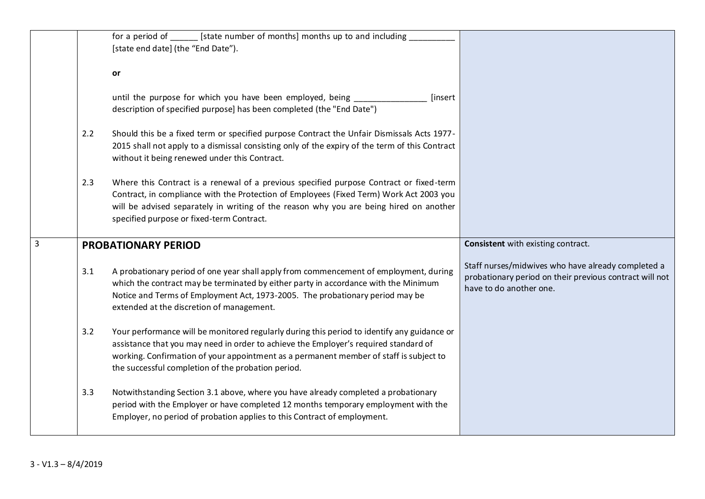|                |     | for a period of ________ [state number of months] months up to and including<br>[state end date] (the "End Date").                                                                                                                                                                                                                  |                                                                                                                                          |
|----------------|-----|-------------------------------------------------------------------------------------------------------------------------------------------------------------------------------------------------------------------------------------------------------------------------------------------------------------------------------------|------------------------------------------------------------------------------------------------------------------------------------------|
|                |     | or                                                                                                                                                                                                                                                                                                                                  |                                                                                                                                          |
|                |     | until the purpose for which you have been employed, being<br>[insert<br>description of specified purpose] has been completed (the "End Date")                                                                                                                                                                                       |                                                                                                                                          |
|                | 2.2 | Should this be a fixed term or specified purpose Contract the Unfair Dismissals Acts 1977-<br>2015 shall not apply to a dismissal consisting only of the expiry of the term of this Contract<br>without it being renewed under this Contract.                                                                                       |                                                                                                                                          |
|                | 2.3 | Where this Contract is a renewal of a previous specified purpose Contract or fixed-term<br>Contract, in compliance with the Protection of Employees (Fixed Term) Work Act 2003 you<br>will be advised separately in writing of the reason why you are being hired on another<br>specified purpose or fixed-term Contract.           |                                                                                                                                          |
| $\overline{3}$ |     | <b>PROBATIONARY PERIOD</b>                                                                                                                                                                                                                                                                                                          | Consistent with existing contract.                                                                                                       |
|                | 3.1 | A probationary period of one year shall apply from commencement of employment, during<br>which the contract may be terminated by either party in accordance with the Minimum<br>Notice and Terms of Employment Act, 1973-2005. The probationary period may be<br>extended at the discretion of management.                          | Staff nurses/midwives who have already completed a<br>probationary period on their previous contract will not<br>have to do another one. |
|                | 3.2 | Your performance will be monitored regularly during this period to identify any guidance or<br>assistance that you may need in order to achieve the Employer's required standard of<br>working. Confirmation of your appointment as a permanent member of staff is subject to<br>the successful completion of the probation period. |                                                                                                                                          |
|                | 3.3 | Notwithstanding Section 3.1 above, where you have already completed a probationary<br>period with the Employer or have completed 12 months temporary employment with the<br>Employer, no period of probation applies to this Contract of employment.                                                                                |                                                                                                                                          |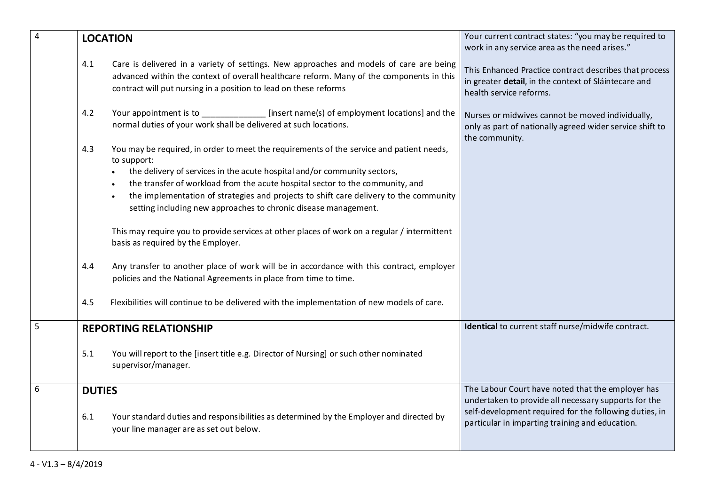| 4 | <b>LOCATION</b>                                                                                                                                                                                                                                                |                                                                                                                                                                                                                                                                                                                                                                                                                                                                                                                                                                                                                                                                                                                                                                                                                                                                | Your current contract states: "you may be required to<br>work in any service area as the need arises."                                                                                                                 |
|---|----------------------------------------------------------------------------------------------------------------------------------------------------------------------------------------------------------------------------------------------------------------|----------------------------------------------------------------------------------------------------------------------------------------------------------------------------------------------------------------------------------------------------------------------------------------------------------------------------------------------------------------------------------------------------------------------------------------------------------------------------------------------------------------------------------------------------------------------------------------------------------------------------------------------------------------------------------------------------------------------------------------------------------------------------------------------------------------------------------------------------------------|------------------------------------------------------------------------------------------------------------------------------------------------------------------------------------------------------------------------|
|   | Care is delivered in a variety of settings. New approaches and models of care are being<br>4.1<br>advanced within the context of overall healthcare reform. Many of the components in this<br>contract will put nursing in a position to lead on these reforms |                                                                                                                                                                                                                                                                                                                                                                                                                                                                                                                                                                                                                                                                                                                                                                                                                                                                | This Enhanced Practice contract describes that process<br>in greater detail, in the context of Sláintecare and<br>health service reforms.                                                                              |
|   | 4.2                                                                                                                                                                                                                                                            | Your appointment is to ________________ [insert name(s) of employment locations] and the<br>normal duties of your work shall be delivered at such locations.                                                                                                                                                                                                                                                                                                                                                                                                                                                                                                                                                                                                                                                                                                   | Nurses or midwives cannot be moved individually,<br>only as part of nationally agreed wider service shift to<br>the community.                                                                                         |
|   | 4.3<br>4.4<br>4.5                                                                                                                                                                                                                                              | You may be required, in order to meet the requirements of the service and patient needs,<br>to support:<br>the delivery of services in the acute hospital and/or community sectors,<br>$\bullet$<br>the transfer of workload from the acute hospital sector to the community, and<br>the implementation of strategies and projects to shift care delivery to the community<br>$\bullet$<br>setting including new approaches to chronic disease management.<br>This may require you to provide services at other places of work on a regular / intermittent<br>basis as required by the Employer.<br>Any transfer to another place of work will be in accordance with this contract, employer<br>policies and the National Agreements in place from time to time.<br>Flexibilities will continue to be delivered with the implementation of new models of care. |                                                                                                                                                                                                                        |
| 5 |                                                                                                                                                                                                                                                                |                                                                                                                                                                                                                                                                                                                                                                                                                                                                                                                                                                                                                                                                                                                                                                                                                                                                | Identical to current staff nurse/midwife contract.                                                                                                                                                                     |
|   | 5.1                                                                                                                                                                                                                                                            | <b>REPORTING RELATIONSHIP</b><br>You will report to the [insert title e.g. Director of Nursing] or such other nominated<br>supervisor/manager.                                                                                                                                                                                                                                                                                                                                                                                                                                                                                                                                                                                                                                                                                                                 |                                                                                                                                                                                                                        |
| 6 | <b>DUTIES</b><br>6.1                                                                                                                                                                                                                                           | Your standard duties and responsibilities as determined by the Employer and directed by<br>your line manager are as set out below.                                                                                                                                                                                                                                                                                                                                                                                                                                                                                                                                                                                                                                                                                                                             | The Labour Court have noted that the employer has<br>undertaken to provide all necessary supports for the<br>self-development required for the following duties, in<br>particular in imparting training and education. |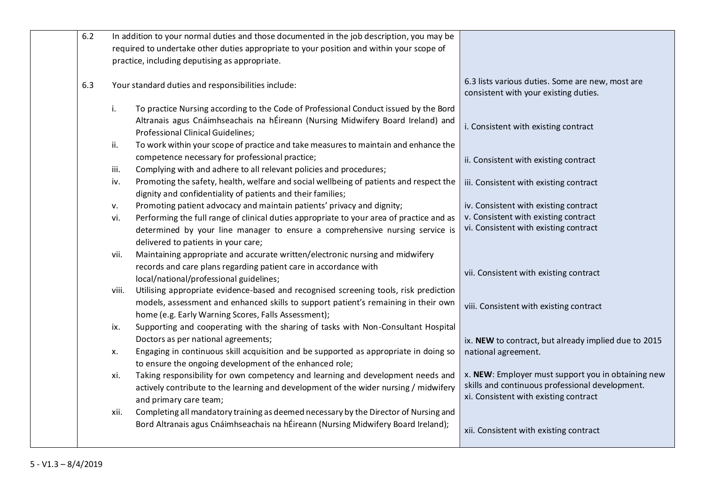| 6.2 | In addition to your normal duties and those documented in the job description, you may be                                                                    |                                                                                           |
|-----|--------------------------------------------------------------------------------------------------------------------------------------------------------------|-------------------------------------------------------------------------------------------|
|     |                                                                                                                                                              |                                                                                           |
|     | required to undertake other duties appropriate to your position and within your scope of                                                                     |                                                                                           |
|     | practice, including deputising as appropriate.                                                                                                               |                                                                                           |
| 6.3 | Your standard duties and responsibilities include:                                                                                                           | 6.3 lists various duties. Some are new, most are<br>consistent with your existing duties. |
|     | To practice Nursing according to the Code of Professional Conduct issued by the Bord<br>i.                                                                   |                                                                                           |
|     | Altranais agus Cnáimhseachais na hÉireann (Nursing Midwifery Board Ireland) and<br>Professional Clinical Guidelines;                                         | i. Consistent with existing contract                                                      |
|     | To work within your scope of practice and take measures to maintain and enhance the<br>ii.                                                                   |                                                                                           |
|     | competence necessary for professional practice;                                                                                                              | ii. Consistent with existing contract                                                     |
|     | Complying with and adhere to all relevant policies and procedures;<br>iii.                                                                                   |                                                                                           |
|     | Promoting the safety, health, welfare and social wellbeing of patients and respect the<br>iv.<br>dignity and confidentiality of patients and their families; | iii. Consistent with existing contract                                                    |
|     | Promoting patient advocacy and maintain patients' privacy and dignity;<br>v.                                                                                 | iv. Consistent with existing contract                                                     |
|     | Performing the full range of clinical duties appropriate to your area of practice and as<br>vi.                                                              | v. Consistent with existing contract                                                      |
|     | determined by your line manager to ensure a comprehensive nursing service is                                                                                 | vi. Consistent with existing contract                                                     |
|     | delivered to patients in your care;                                                                                                                          |                                                                                           |
|     | Maintaining appropriate and accurate written/electronic nursing and midwifery<br>vii.                                                                        |                                                                                           |
|     | records and care plans regarding patient care in accordance with                                                                                             |                                                                                           |
|     | local/national/professional guidelines;                                                                                                                      | vii. Consistent with existing contract                                                    |
|     | Utilising appropriate evidence-based and recognised screening tools, risk prediction                                                                         |                                                                                           |
|     | viii.<br>models, assessment and enhanced skills to support patient's remaining in their own                                                                  |                                                                                           |
|     |                                                                                                                                                              | viii. Consistent with existing contract                                                   |
|     | home (e.g. Early Warning Scores, Falls Assessment);                                                                                                          |                                                                                           |
|     | Supporting and cooperating with the sharing of tasks with Non-Consultant Hospital<br>ix.                                                                     |                                                                                           |
|     | Doctors as per national agreements;                                                                                                                          | ix. NEW to contract, but already implied due to 2015                                      |
|     | Engaging in continuous skill acquisition and be supported as appropriate in doing so<br>х.                                                                   | national agreement.                                                                       |
|     | to ensure the ongoing development of the enhanced role;                                                                                                      |                                                                                           |
|     | Taking responsibility for own competency and learning and development needs and<br>xi.                                                                       | x. NEW: Employer must support you in obtaining new                                        |
|     | actively contribute to the learning and development of the wider nursing / midwifery                                                                         | skills and continuous professional development.                                           |
|     | and primary care team;                                                                                                                                       | xi. Consistent with existing contract                                                     |
|     | Completing all mandatory training as deemed necessary by the Director of Nursing and<br>xii.                                                                 |                                                                                           |
|     | Bord Altranais agus Cnáimhseachais na hÉireann (Nursing Midwifery Board Ireland);                                                                            | xii. Consistent with existing contract                                                    |
|     |                                                                                                                                                              |                                                                                           |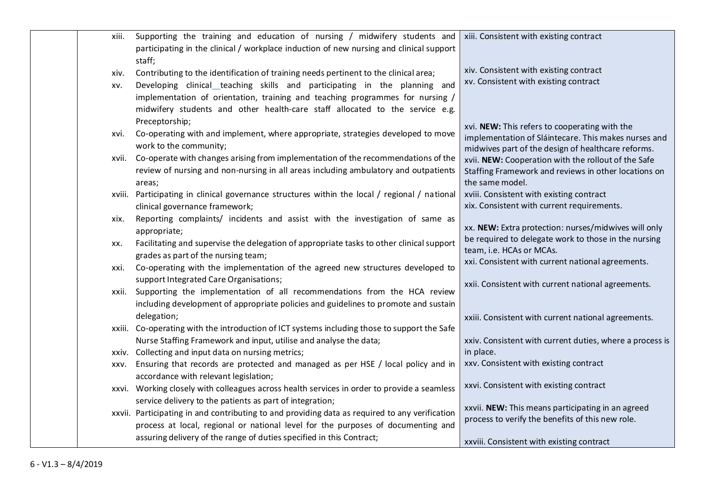| xiii.  | Supporting the training and education of nursing / midwifery students and                      | xiii. Consistent with existing contract                                                               |
|--------|------------------------------------------------------------------------------------------------|-------------------------------------------------------------------------------------------------------|
|        | participating in the clinical / workplace induction of new nursing and clinical support        |                                                                                                       |
|        | staff;                                                                                         |                                                                                                       |
| xiv.   | Contributing to the identification of training needs pertinent to the clinical area;           | xiv. Consistent with existing contract                                                                |
| XV.    | Developing clinical teaching skills and participating in the planning and                      | xv. Consistent with existing contract                                                                 |
|        | implementation of orientation, training and teaching programmes for nursing /                  |                                                                                                       |
|        | midwifery students and other health-care staff allocated to the service e.g.                   |                                                                                                       |
|        | Preceptorship;                                                                                 |                                                                                                       |
| xvi.   | Co-operating with and implement, where appropriate, strategies developed to move               | xvi. NEW: This refers to cooperating with the<br>implementation of Sláintecare. This makes nurses and |
|        | work to the community;                                                                         | midwives part of the design of healthcare reforms.                                                    |
| xvii.  | Co-operate with changes arising from implementation of the recommendations of the              | xvii. NEW: Cooperation with the rollout of the Safe                                                   |
|        | review of nursing and non-nursing in all areas including ambulatory and outpatients            | Staffing Framework and reviews in other locations on                                                  |
|        | areas;                                                                                         | the same model.                                                                                       |
| xviii. | Participating in clinical governance structures within the local / regional / national         | xviii. Consistent with existing contract                                                              |
|        | clinical governance framework;                                                                 | xix. Consistent with current requirements.                                                            |
| xix.   | Reporting complaints/ incidents and assist with the investigation of same as                   |                                                                                                       |
|        | appropriate;                                                                                   | xx. NEW: Extra protection: nurses/midwives will only                                                  |
| XX.    | Facilitating and supervise the delegation of appropriate tasks to other clinical support       | be required to delegate work to those in the nursing                                                  |
|        | grades as part of the nursing team;                                                            | team, i.e. HCAs or MCAs.<br>xxi. Consistent with current national agreements.                         |
| xxi.   | Co-operating with the implementation of the agreed new structures developed to                 |                                                                                                       |
|        | support Integrated Care Organisations;                                                         | xxii. Consistent with current national agreements.                                                    |
| xxii.  | Supporting the implementation of all recommendations from the HCA review                       |                                                                                                       |
|        | including development of appropriate policies and guidelines to promote and sustain            |                                                                                                       |
|        | delegation;                                                                                    | xxiii. Consistent with current national agreements.                                                   |
|        | xxiii. Co-operating with the introduction of ICT systems including those to support the Safe   |                                                                                                       |
|        | Nurse Staffing Framework and input, utilise and analyse the data;                              | xxiv. Consistent with current duties, where a process is                                              |
|        | xxiv. Collecting and input data on nursing metrics;                                            | in place.                                                                                             |
| XXV.   | Ensuring that records are protected and managed as per HSE / local policy and in               | xxv. Consistent with existing contract                                                                |
|        | accordance with relevant legislation;                                                          | xxvi. Consistent with existing contract                                                               |
|        | xxvi. Working closely with colleagues across health services in order to provide a seamless    |                                                                                                       |
|        | service delivery to the patients as part of integration;                                       | xxvii. NEW: This means participating in an agreed                                                     |
|        | xxvii. Participating in and contributing to and providing data as required to any verification | process to verify the benefits of this new role.                                                      |
|        | process at local, regional or national level for the purposes of documenting and               |                                                                                                       |
|        | assuring delivery of the range of duties specified in this Contract;                           | xxviii. Consistent with existing contract                                                             |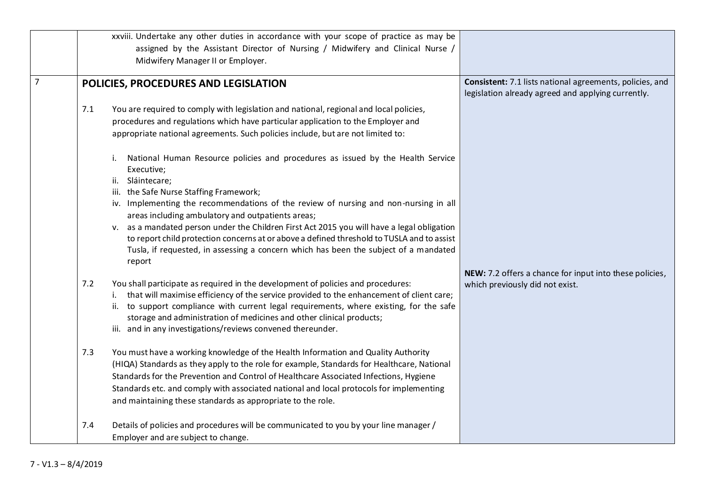|                | xxviii. Undertake any other duties in accordance with your scope of practice as may be                                                                                                                                                                                                                                                                                                                                                                                                                                                                                                                                                                                                                                                                                                                                                                                                |                                                                                                                |
|----------------|---------------------------------------------------------------------------------------------------------------------------------------------------------------------------------------------------------------------------------------------------------------------------------------------------------------------------------------------------------------------------------------------------------------------------------------------------------------------------------------------------------------------------------------------------------------------------------------------------------------------------------------------------------------------------------------------------------------------------------------------------------------------------------------------------------------------------------------------------------------------------------------|----------------------------------------------------------------------------------------------------------------|
|                | assigned by the Assistant Director of Nursing / Midwifery and Clinical Nurse /                                                                                                                                                                                                                                                                                                                                                                                                                                                                                                                                                                                                                                                                                                                                                                                                        |                                                                                                                |
|                | Midwifery Manager II or Employer.                                                                                                                                                                                                                                                                                                                                                                                                                                                                                                                                                                                                                                                                                                                                                                                                                                                     |                                                                                                                |
| $\overline{7}$ | POLICIES, PROCEDURES AND LEGISLATION                                                                                                                                                                                                                                                                                                                                                                                                                                                                                                                                                                                                                                                                                                                                                                                                                                                  | Consistent: 7.1 lists national agreements, policies, and<br>legislation already agreed and applying currently. |
|                | 7.1<br>You are required to comply with legislation and national, regional and local policies,<br>procedures and regulations which have particular application to the Employer and<br>appropriate national agreements. Such policies include, but are not limited to:<br>National Human Resource policies and procedures as issued by the Health Service<br>İ.<br>Executive;<br>ii. Sláintecare;<br>iii. the Safe Nurse Staffing Framework;<br>iv. Implementing the recommendations of the review of nursing and non-nursing in all<br>areas including ambulatory and outpatients areas;<br>v. as a mandated person under the Children First Act 2015 you will have a legal obligation<br>to report child protection concerns at or above a defined threshold to TUSLA and to assist<br>Tusla, if requested, in assessing a concern which has been the subject of a mandated<br>report |                                                                                                                |
|                | You shall participate as required in the development of policies and procedures:<br>7.2<br>i. that will maximise efficiency of the service provided to the enhancement of client care;<br>ii. to support compliance with current legal requirements, where existing, for the safe<br>storage and administration of medicines and other clinical products;<br>iii. and in any investigations/reviews convened thereunder.                                                                                                                                                                                                                                                                                                                                                                                                                                                              | NEW: 7.2 offers a chance for input into these policies,<br>which previously did not exist.                     |
|                | You must have a working knowledge of the Health Information and Quality Authority<br>7.3<br>(HIQA) Standards as they apply to the role for example, Standards for Healthcare, National<br>Standards for the Prevention and Control of Healthcare Associated Infections, Hygiene<br>Standards etc. and comply with associated national and local protocols for implementing<br>and maintaining these standards as appropriate to the role.                                                                                                                                                                                                                                                                                                                                                                                                                                             |                                                                                                                |
|                | Details of policies and procedures will be communicated to you by your line manager /<br>7.4<br>Employer and are subject to change.                                                                                                                                                                                                                                                                                                                                                                                                                                                                                                                                                                                                                                                                                                                                                   |                                                                                                                |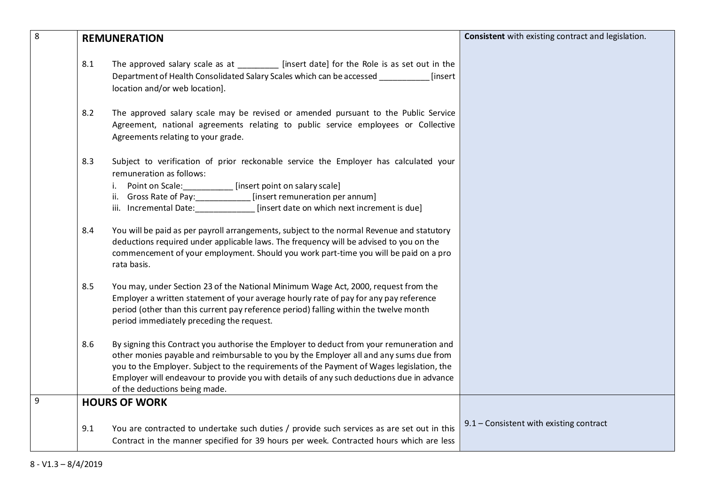| 8 | <b>REMUNERATION</b> |                                                                                                                                                                                                                                                                                                                                                                                                               | Consistent with existing contract and legislation. |
|---|---------------------|---------------------------------------------------------------------------------------------------------------------------------------------------------------------------------------------------------------------------------------------------------------------------------------------------------------------------------------------------------------------------------------------------------------|----------------------------------------------------|
|   | 8.1                 | The approved salary scale as at ____________ [insert date] for the Role is as set out in the<br>Department of Health Consolidated Salary Scales which can be accessed<br>[insert<br>location and/or web location].                                                                                                                                                                                            |                                                    |
|   | 8.2                 | The approved salary scale may be revised or amended pursuant to the Public Service<br>Agreement, national agreements relating to public service employees or Collective<br>Agreements relating to your grade.                                                                                                                                                                                                 |                                                    |
|   | 8.3                 | Subject to verification of prior reckonable service the Employer has calculated your<br>remuneration as follows:<br>i. Point on Scale: ___________ [insert point on salary scale]<br>ii. Gross Rate of Pay: ___________ [insert remuneration per annum]<br>iii. Incremental Date: [insert date on which next increment is due]                                                                                |                                                    |
|   | 8.4                 | You will be paid as per payroll arrangements, subject to the normal Revenue and statutory<br>deductions required under applicable laws. The frequency will be advised to you on the<br>commencement of your employment. Should you work part-time you will be paid on a pro<br>rata basis.                                                                                                                    |                                                    |
|   | 8.5                 | You may, under Section 23 of the National Minimum Wage Act, 2000, request from the<br>Employer a written statement of your average hourly rate of pay for any pay reference<br>period (other than this current pay reference period) falling within the twelve month<br>period immediately preceding the request.                                                                                             |                                                    |
|   | 8.6                 | By signing this Contract you authorise the Employer to deduct from your remuneration and<br>other monies payable and reimbursable to you by the Employer all and any sums due from<br>you to the Employer. Subject to the requirements of the Payment of Wages legislation, the<br>Employer will endeavour to provide you with details of any such deductions due in advance<br>of the deductions being made. |                                                    |
| 9 |                     | <b>HOURS OF WORK</b>                                                                                                                                                                                                                                                                                                                                                                                          |                                                    |
|   | 9.1                 | You are contracted to undertake such duties / provide such services as are set out in this<br>Contract in the manner specified for 39 hours per week. Contracted hours which are less                                                                                                                                                                                                                         | 9.1 - Consistent with existing contract            |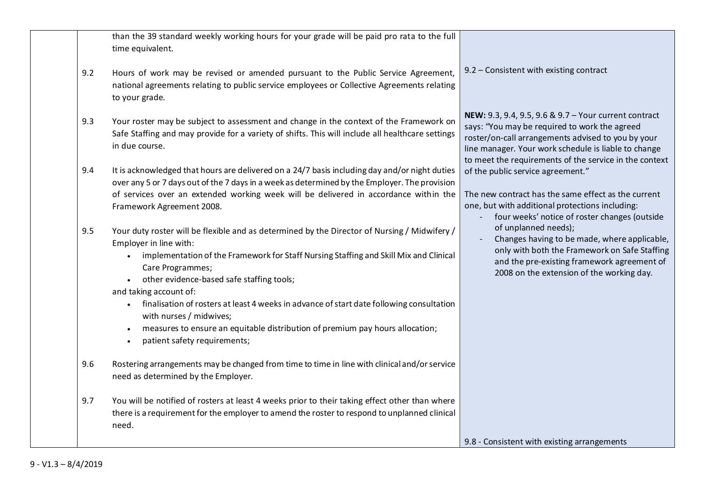| than the 39 standard weekly working hours for your grade will be paid pro rata to the full<br>time equivalent.                                                                                                      |                                                                                                                                                                                                                                                                                |
|---------------------------------------------------------------------------------------------------------------------------------------------------------------------------------------------------------------------|--------------------------------------------------------------------------------------------------------------------------------------------------------------------------------------------------------------------------------------------------------------------------------|
| Hours of work may be revised or amended pursuant to the Public Service Agreement,<br>9.2<br>national agreements relating to public service employees or Collective Agreements relating<br>to your grade.            | $9.2$ – Consistent with existing contract                                                                                                                                                                                                                                      |
| Your roster may be subject to assessment and change in the context of the Framework on<br>9.3<br>Safe Staffing and may provide for a variety of shifts. This will include all healthcare settings<br>in due course. | NEW: 9.3, 9.4, 9.5, 9.6 & 9.7 - Your current contract<br>says: "You may be required to work the agreed<br>roster/on-call arrangements advised to you by your<br>line manager. Your work schedule is liable to change<br>to meet the requirements of the service in the context |
| It is acknowledged that hours are delivered on a 24/7 basis including day and/or night duties<br>9.4<br>over any 5 or 7 days out of the 7 days in a week as determined by the Employer. The provision               | of the public service agreement."                                                                                                                                                                                                                                              |
| of services over an extended working week will be delivered in accordance within the<br>Framework Agreement 2008.                                                                                                   | The new contract has the same effect as the current<br>one, but with additional protections including:<br>four weeks' notice of roster changes (outside                                                                                                                        |
| Your duty roster will be flexible and as determined by the Director of Nursing / Midwifery /<br>9.5<br>Employer in line with:                                                                                       | of unplanned needs);<br>Changes having to be made, where applicable,<br>only with both the Framework on Safe Staffing                                                                                                                                                          |
| implementation of the Framework for Staff Nursing Staffing and Skill Mix and Clinical<br>Care Programmes;                                                                                                           | and the pre-existing framework agreement of<br>2008 on the extension of the working day.                                                                                                                                                                                       |
| • other evidence-based safe staffing tools;<br>and taking account of:                                                                                                                                               |                                                                                                                                                                                                                                                                                |
| • finalisation of rosters at least 4 weeks in advance of start date following consultation<br>with nurses / midwives;                                                                                               |                                                                                                                                                                                                                                                                                |
| measures to ensure an equitable distribution of premium pay hours allocation;<br>patient safety requirements;                                                                                                       |                                                                                                                                                                                                                                                                                |
| Rostering arrangements may be changed from time to time in line with clinical and/or service<br>9.6<br>need as determined by the Employer.                                                                          |                                                                                                                                                                                                                                                                                |
| You will be notified of rosters at least 4 weeks prior to their taking effect other than where<br>9.7<br>there is a requirement for the employer to amend the roster to respond to unplanned clinical<br>need.      |                                                                                                                                                                                                                                                                                |
|                                                                                                                                                                                                                     | 9.8 - Consistent with existing arrangements                                                                                                                                                                                                                                    |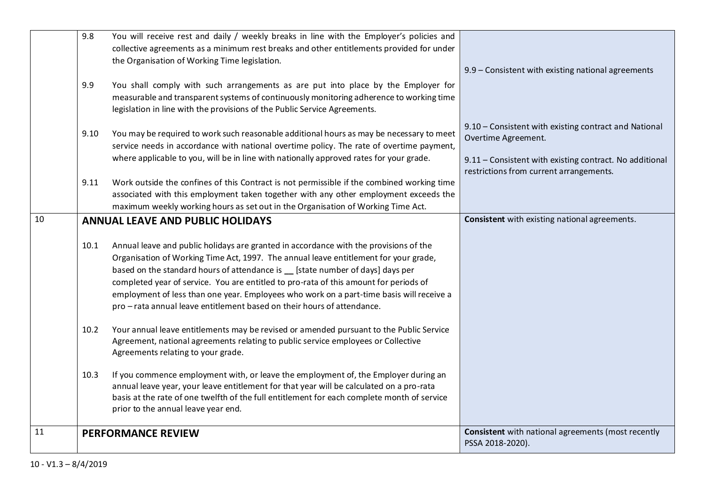|    | 9.8<br>9.9 | You will receive rest and daily / weekly breaks in line with the Employer's policies and<br>collective agreements as a minimum rest breaks and other entitlements provided for under<br>the Organisation of Working Time legislation.<br>You shall comply with such arrangements as are put into place by the Employer for                                                                                                                                                                                                      | 9.9 - Consistent with existing national agreements                                                                        |
|----|------------|---------------------------------------------------------------------------------------------------------------------------------------------------------------------------------------------------------------------------------------------------------------------------------------------------------------------------------------------------------------------------------------------------------------------------------------------------------------------------------------------------------------------------------|---------------------------------------------------------------------------------------------------------------------------|
|    |            | measurable and transparent systems of continuously monitoring adherence to working time<br>legislation in line with the provisions of the Public Service Agreements.                                                                                                                                                                                                                                                                                                                                                            | 9.10 - Consistent with existing contract and National                                                                     |
|    | 9.10       | You may be required to work such reasonable additional hours as may be necessary to meet<br>service needs in accordance with national overtime policy. The rate of overtime payment,<br>where applicable to you, will be in line with nationally approved rates for your grade.                                                                                                                                                                                                                                                 | Overtime Agreement.<br>9.11 - Consistent with existing contract. No additional<br>restrictions from current arrangements. |
|    | 9.11       | Work outside the confines of this Contract is not permissible if the combined working time<br>associated with this employment taken together with any other employment exceeds the<br>maximum weekly working hours as set out in the Organisation of Working Time Act.                                                                                                                                                                                                                                                          |                                                                                                                           |
| 10 |            | <b>ANNUAL LEAVE AND PUBLIC HOLIDAYS</b>                                                                                                                                                                                                                                                                                                                                                                                                                                                                                         | Consistent with existing national agreements.                                                                             |
|    | 10.1       | Annual leave and public holidays are granted in accordance with the provisions of the<br>Organisation of Working Time Act, 1997. The annual leave entitlement for your grade,<br>based on the standard hours of attendance is _ [state number of days] days per<br>completed year of service. You are entitled to pro-rata of this amount for periods of<br>employment of less than one year. Employees who work on a part-time basis will receive a<br>pro - rata annual leave entitlement based on their hours of attendance. |                                                                                                                           |
|    | 10.2       | Your annual leave entitlements may be revised or amended pursuant to the Public Service<br>Agreement, national agreements relating to public service employees or Collective<br>Agreements relating to your grade.                                                                                                                                                                                                                                                                                                              |                                                                                                                           |
|    | 10.3       | If you commence employment with, or leave the employment of, the Employer during an<br>annual leave year, your leave entitlement for that year will be calculated on a pro-rata<br>basis at the rate of one twelfth of the full entitlement for each complete month of service<br>prior to the annual leave year end.                                                                                                                                                                                                           |                                                                                                                           |
| 11 |            | <b>PERFORMANCE REVIEW</b>                                                                                                                                                                                                                                                                                                                                                                                                                                                                                                       | <b>Consistent</b> with national agreements (most recently<br>PSSA 2018-2020).                                             |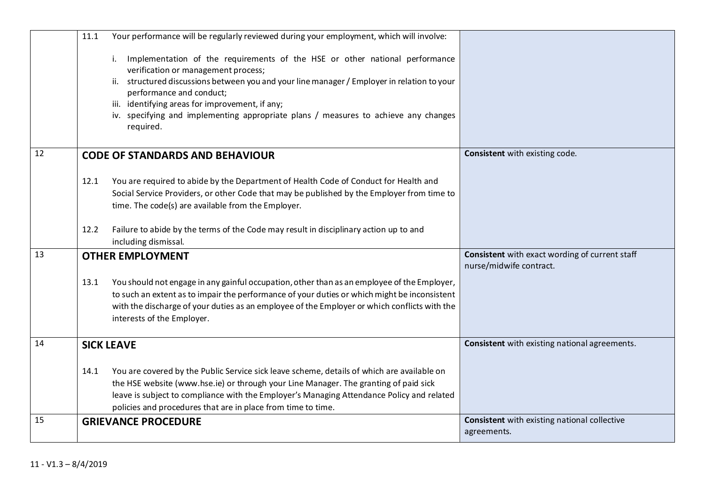|    | 11.1 | Your performance will be regularly reviewed during your employment, which will involve:                                                                                                                                                                                                                                                                                                              |                                                                           |
|----|------|------------------------------------------------------------------------------------------------------------------------------------------------------------------------------------------------------------------------------------------------------------------------------------------------------------------------------------------------------------------------------------------------------|---------------------------------------------------------------------------|
|    |      | Implementation of the requirements of the HSE or other national performance<br>verification or management process;<br>ii. structured discussions between you and your line manager / Employer in relation to your<br>performance and conduct;<br>iii. identifying areas for improvement, if any;<br>iv. specifying and implementing appropriate plans / measures to achieve any changes<br>required. |                                                                           |
| 12 |      | <b>CODE OF STANDARDS AND BEHAVIOUR</b>                                                                                                                                                                                                                                                                                                                                                               | Consistent with existing code.                                            |
|    | 12.1 | You are required to abide by the Department of Health Code of Conduct for Health and<br>Social Service Providers, or other Code that may be published by the Employer from time to<br>time. The code(s) are available from the Employer.                                                                                                                                                             |                                                                           |
|    | 12.2 | Failure to abide by the terms of the Code may result in disciplinary action up to and<br>including dismissal.                                                                                                                                                                                                                                                                                        |                                                                           |
| 13 |      | <b>OTHER EMPLOYMENT</b>                                                                                                                                                                                                                                                                                                                                                                              | Consistent with exact wording of current staff<br>nurse/midwife contract. |
|    | 13.1 | You should not engage in any gainful occupation, other than as an employee of the Employer,<br>to such an extent as to impair the performance of your duties or which might be inconsistent<br>with the discharge of your duties as an employee of the Employer or which conflicts with the<br>interests of the Employer.                                                                            |                                                                           |
| 14 |      | <b>SICK LEAVE</b>                                                                                                                                                                                                                                                                                                                                                                                    | Consistent with existing national agreements.                             |
|    | 14.1 | You are covered by the Public Service sick leave scheme, details of which are available on<br>the HSE website (www.hse.ie) or through your Line Manager. The granting of paid sick<br>leave is subject to compliance with the Employer's Managing Attendance Policy and related<br>policies and procedures that are in place from time to time.                                                      |                                                                           |
| 15 |      | <b>GRIEVANCE PROCEDURE</b>                                                                                                                                                                                                                                                                                                                                                                           | <b>Consistent</b> with existing national collective<br>agreements.        |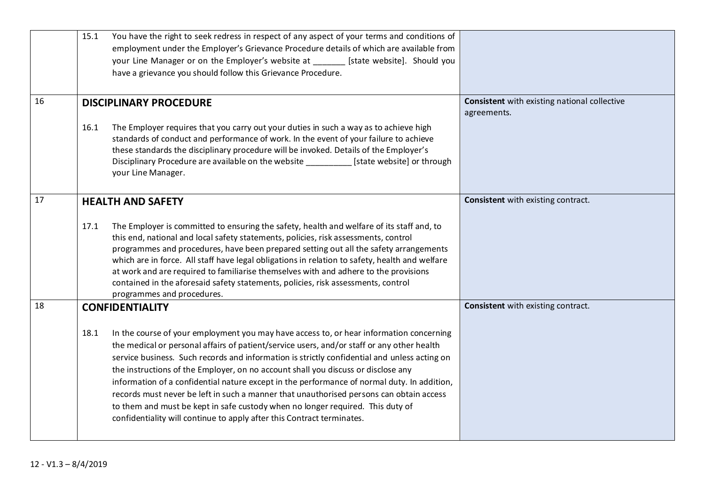|    | 15.1 | You have the right to seek redress in respect of any aspect of your terms and conditions of<br>employment under the Employer's Grievance Procedure details of which are available from<br>your Line Manager or on the Employer's website at _______ [state website]. Should you<br>have a grievance you should follow this Grievance Procedure.                                                                                                                                                                                                                                                                                                                                                                                  |                                                                    |
|----|------|----------------------------------------------------------------------------------------------------------------------------------------------------------------------------------------------------------------------------------------------------------------------------------------------------------------------------------------------------------------------------------------------------------------------------------------------------------------------------------------------------------------------------------------------------------------------------------------------------------------------------------------------------------------------------------------------------------------------------------|--------------------------------------------------------------------|
| 16 |      | <b>DISCIPLINARY PROCEDURE</b>                                                                                                                                                                                                                                                                                                                                                                                                                                                                                                                                                                                                                                                                                                    | <b>Consistent</b> with existing national collective<br>agreements. |
|    | 16.1 | The Employer requires that you carry out your duties in such a way as to achieve high<br>standards of conduct and performance of work. In the event of your failure to achieve<br>these standards the disciplinary procedure will be invoked. Details of the Employer's<br>Disciplinary Procedure are available on the website [state website] or through<br>your Line Manager.                                                                                                                                                                                                                                                                                                                                                  |                                                                    |
| 17 |      | <b>HEALTH AND SAFETY</b>                                                                                                                                                                                                                                                                                                                                                                                                                                                                                                                                                                                                                                                                                                         | Consistent with existing contract.                                 |
|    | 17.1 | The Employer is committed to ensuring the safety, health and welfare of its staff and, to<br>this end, national and local safety statements, policies, risk assessments, control<br>programmes and procedures, have been prepared setting out all the safety arrangements<br>which are in force. All staff have legal obligations in relation to safety, health and welfare<br>at work and are required to familiarise themselves with and adhere to the provisions<br>contained in the aforesaid safety statements, policies, risk assessments, control<br>programmes and procedures.                                                                                                                                           |                                                                    |
| 18 |      | <b>CONFIDENTIALITY</b>                                                                                                                                                                                                                                                                                                                                                                                                                                                                                                                                                                                                                                                                                                           | Consistent with existing contract.                                 |
|    | 18.1 | In the course of your employment you may have access to, or hear information concerning<br>the medical or personal affairs of patient/service users, and/or staff or any other health<br>service business. Such records and information is strictly confidential and unless acting on<br>the instructions of the Employer, on no account shall you discuss or disclose any<br>information of a confidential nature except in the performance of normal duty. In addition,<br>records must never be left in such a manner that unauthorised persons can obtain access<br>to them and must be kept in safe custody when no longer required. This duty of<br>confidentiality will continue to apply after this Contract terminates. |                                                                    |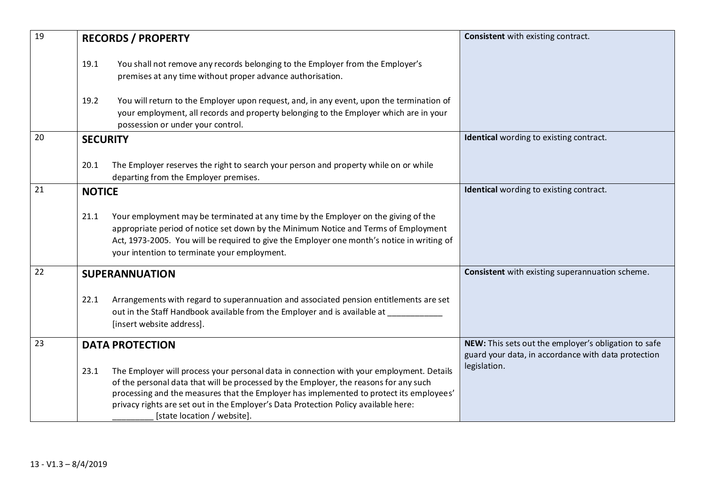| 19 | <b>RECORDS / PROPERTY</b>                                                                                                                                                                                                                                                                                                                                                                                  | <b>Consistent</b> with existing contract.                                                                   |
|----|------------------------------------------------------------------------------------------------------------------------------------------------------------------------------------------------------------------------------------------------------------------------------------------------------------------------------------------------------------------------------------------------------------|-------------------------------------------------------------------------------------------------------------|
|    | You shall not remove any records belonging to the Employer from the Employer's<br>19.1<br>premises at any time without proper advance authorisation.                                                                                                                                                                                                                                                       |                                                                                                             |
|    | 19.2<br>You will return to the Employer upon request, and, in any event, upon the termination of<br>your employment, all records and property belonging to the Employer which are in your<br>possession or under your control.                                                                                                                                                                             |                                                                                                             |
| 20 | <b>SECURITY</b>                                                                                                                                                                                                                                                                                                                                                                                            | <b>Identical</b> wording to existing contract.                                                              |
|    | The Employer reserves the right to search your person and property while on or while<br>20.1<br>departing from the Employer premises.                                                                                                                                                                                                                                                                      |                                                                                                             |
| 21 | <b>NOTICE</b>                                                                                                                                                                                                                                                                                                                                                                                              | <b>Identical</b> wording to existing contract.                                                              |
|    | Your employment may be terminated at any time by the Employer on the giving of the<br>21.1<br>appropriate period of notice set down by the Minimum Notice and Terms of Employment<br>Act, 1973-2005. You will be required to give the Employer one month's notice in writing of<br>your intention to terminate your employment.                                                                            |                                                                                                             |
| 22 | <b>SUPERANNUATION</b>                                                                                                                                                                                                                                                                                                                                                                                      | Consistent with existing superannuation scheme.                                                             |
|    | Arrangements with regard to superannuation and associated pension entitlements are set<br>22.1<br>out in the Staff Handbook available from the Employer and is available at<br>[insert website address].                                                                                                                                                                                                   |                                                                                                             |
| 23 | <b>DATA PROTECTION</b>                                                                                                                                                                                                                                                                                                                                                                                     | NEW: This sets out the employer's obligation to safe<br>guard your data, in accordance with data protection |
|    | The Employer will process your personal data in connection with your employment. Details<br>23.1<br>of the personal data that will be processed by the Employer, the reasons for any such<br>processing and the measures that the Employer has implemented to protect its employees'<br>privacy rights are set out in the Employer's Data Protection Policy available here:<br>[state location / website]. | legislation.                                                                                                |